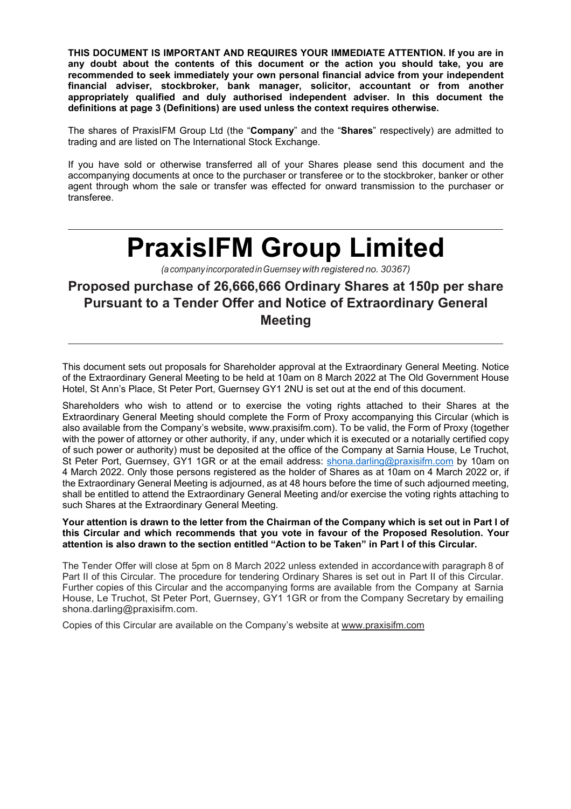**THIS DOCUMENT IS IMPORTANT AND REQUIRES YOUR IMMEDIATE ATTENTION. If you are in any doubt about the contents of this document or the action you should take, you are recommended to seek immediately your own personal financial advice from your independent financial adviser, stockbroker, bank manager, solicitor, accountant or from another appropriately qualified and duly authorised independent adviser. In this document the definitions at page 3 (Definitions) are used unless the context requires otherwise.** 

The shares of PraxisIFM Group Ltd (the "**Company**" and the "**Shares**" respectively) are admitted to trading and are listed on The International Stock Exchange.

If you have sold or otherwise transferred all of your Shares please send this document and the accompanying documents at once to the purchaser or transferee or to the stockbroker, banker or other agent through whom the sale or transfer was effected for onward transmission to the purchaser or transferee.

# **PraxisIFM Group Limited**

*(a company incorporated in Guernsey with registered no. 30367)* 

## **Proposed purchase of 26,666,666 Ordinary Shares at 150p per share Pursuant to a Tender Offer and Notice of Extraordinary General Meeting**

This document sets out proposals for Shareholder approval at the Extraordinary General Meeting. Notice of the Extraordinary General Meeting to be held at 10am on 8 March 2022 at The Old Government House Hotel, St Ann's Place, St Peter Port, Guernsey GY1 2NU is set out at the end of this document.

Shareholders who wish to attend or to exercise the voting rights attached to their Shares at the Extraordinary General Meeting should complete the Form of Proxy accompanying this Circular (which is also available from the Company's website, www.praxisifm.com). To be valid, the Form of Proxy (together with the power of attorney or other authority, if any, under which it is executed or a notarially certified copy of such power or authority) must be deposited at the office of the Company at Sarnia House, Le Truchot, St Peter Port, Guernsey, GY1 1GR or at the email address: shona.darling@praxisifm.com by 10am on 4 March 2022. Only those persons registered as the holder of Shares as at 10am on 4 March 2022 or, if the Extraordinary General Meeting is adjourned, as at 48 hours before the time of such adjourned meeting, shall be entitled to attend the Extraordinary General Meeting and/or exercise the voting rights attaching to such Shares at the Extraordinary General Meeting.

**Your attention is drawn to the letter from the Chairman of the Company which is set out in Part I of this Circular and which recommends that you vote in favour of the Proposed Resolution. Your attention is also drawn to the section entitled "Action to be Taken" in Part I of this Circular.**

The Tender Offer will close at 5pm on 8 March 2022 unless extended in accordance with paragraph 8 of Part II of this Circular. The procedure for tendering Ordinary Shares is set out in Part II of this Circular. Further copies of this Circular and the accompanying forms are available from the Company at Sarnia House, Le Truchot, St Peter Port, Guernsey, GY1 1GR or from the Company Secretary by emailing shona.darling@praxisifm.com.

Copies of this Circular are available on the Company's website at www.praxisifm.com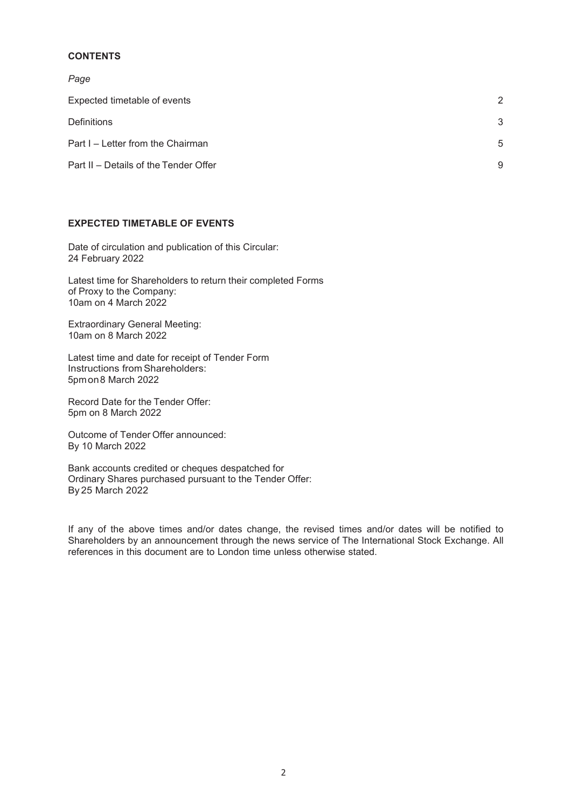## **CONTENTS**

*Page* 

| Expected timetable of events          | $\mathcal{P}$ |
|---------------------------------------|---------------|
| Definitions                           | 3             |
| Part I – Letter from the Chairman     | $5^{\circ}$   |
| Part II – Details of the Tender Offer | 9             |

## **EXPECTED TIMETABLE OF EVENTS**

Date of circulation and publication of this Circular: 24 February 2022

Latest time for Shareholders to return their completed Forms of Proxy to the Company: 10am on 4 March 2022

Extraordinary General Meeting: 10am on 8 March 2022

Latest time and date for receipt of Tender Form Instructions from Shareholders: 5pm on 8 March 2022

Record Date for the Tender Offer: 5pm on 8 March 2022

Outcome of Tender Offer announced: By 10 March 2022

Bank accounts credited or cheques despatched for Ordinary Shares purchased pursuant to the Tender Offer: By 25 March 2022

If any of the above times and/or dates change, the revised times and/or dates will be notified to Shareholders by an announcement through the news service of The International Stock Exchange. All references in this document are to London time unless otherwise stated.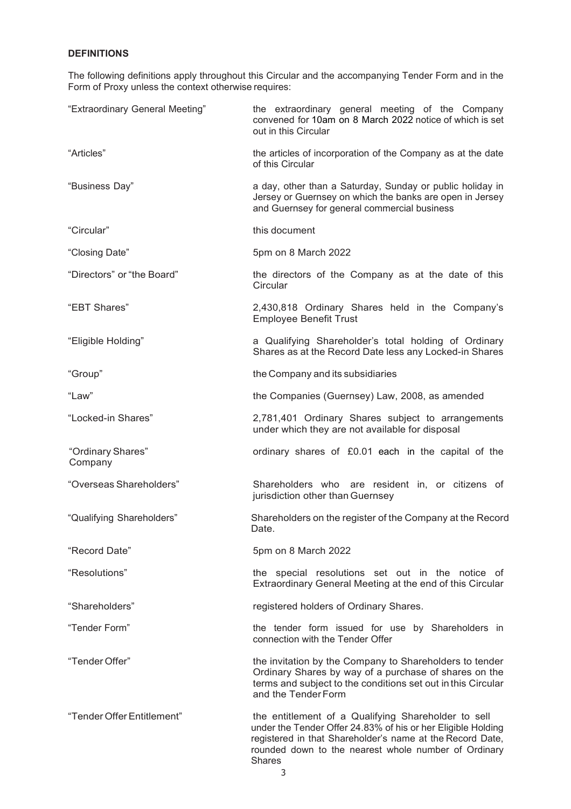## **DEFINITIONS**

The following definitions apply throughout this Circular and the accompanying Tender Form and in the Form of Proxy unless the context otherwise requires:

| "Extraordinary General Meeting" | the extraordinary general meeting of the Company<br>convened for 10am on 8 March 2022 notice of which is set<br>out in this Circular                                                                                                                      |  |
|---------------------------------|-----------------------------------------------------------------------------------------------------------------------------------------------------------------------------------------------------------------------------------------------------------|--|
| "Articles"                      | the articles of incorporation of the Company as at the date<br>of this Circular                                                                                                                                                                           |  |
| "Business Day"                  | a day, other than a Saturday, Sunday or public holiday in<br>Jersey or Guernsey on which the banks are open in Jersey<br>and Guernsey for general commercial business                                                                                     |  |
| "Circular"                      | this document                                                                                                                                                                                                                                             |  |
| "Closing Date"                  | 5pm on 8 March 2022                                                                                                                                                                                                                                       |  |
| "Directors" or "the Board"      | the directors of the Company as at the date of this<br>Circular                                                                                                                                                                                           |  |
| "EBT Shares"                    | 2,430,818 Ordinary Shares held in the Company's<br><b>Employee Benefit Trust</b>                                                                                                                                                                          |  |
| "Eligible Holding"              | a Qualifying Shareholder's total holding of Ordinary<br>Shares as at the Record Date less any Locked-in Shares                                                                                                                                            |  |
| "Group"                         | the Company and its subsidiaries                                                                                                                                                                                                                          |  |
| "Law"                           | the Companies (Guernsey) Law, 2008, as amended                                                                                                                                                                                                            |  |
| "Locked-in Shares"              | 2,781,401 Ordinary Shares subject to arrangements<br>under which they are not available for disposal                                                                                                                                                      |  |
| "Ordinary Shares"<br>Company    | ordinary shares of £0.01 each in the capital of the                                                                                                                                                                                                       |  |
| "Overseas Shareholders"         | Shareholders who are resident in, or citizens of<br>jurisdiction other than Guernsey                                                                                                                                                                      |  |
| "Qualifying Shareholders"       | Shareholders on the register of the Company at the Record<br>Date.                                                                                                                                                                                        |  |
| "Record Date"                   | 5pm on 8 March 2022                                                                                                                                                                                                                                       |  |
| "Resolutions"                   | the special resolutions set out in the notice of<br>Extraordinary General Meeting at the end of this Circular                                                                                                                                             |  |
| "Shareholders"                  | registered holders of Ordinary Shares.                                                                                                                                                                                                                    |  |
| "Tender Form"                   | the tender form issued for use by Shareholders in<br>connection with the Tender Offer                                                                                                                                                                     |  |
| "Tender Offer"                  | the invitation by the Company to Shareholders to tender<br>Ordinary Shares by way of a purchase of shares on the<br>terms and subject to the conditions set out in this Circular<br>and the Tender Form                                                   |  |
| "Tender Offer Entitlement"      | the entitlement of a Qualifying Shareholder to sell<br>under the Tender Offer 24.83% of his or her Eligible Holding<br>registered in that Shareholder's name at the Record Date,<br>rounded down to the nearest whole number of Ordinary<br><b>Shares</b> |  |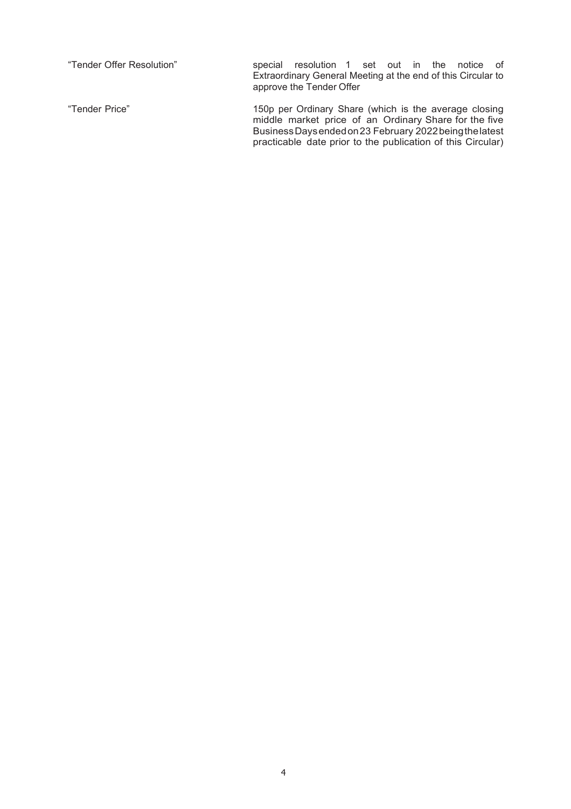| "Tender Offer Resolution" | resolution 1 set out in the notice of<br>special<br>Extraordinary General Meeting at the end of this Circular to<br>approve the Tender Offer                                                                                              |
|---------------------------|-------------------------------------------------------------------------------------------------------------------------------------------------------------------------------------------------------------------------------------------|
| "Tender Price"            | 150p per Ordinary Share (which is the average closing<br>middle market price of an Ordinary Share for the five<br>Business Days ended on 23 February 2022 being the latest<br>practicable date prior to the publication of this Circular) |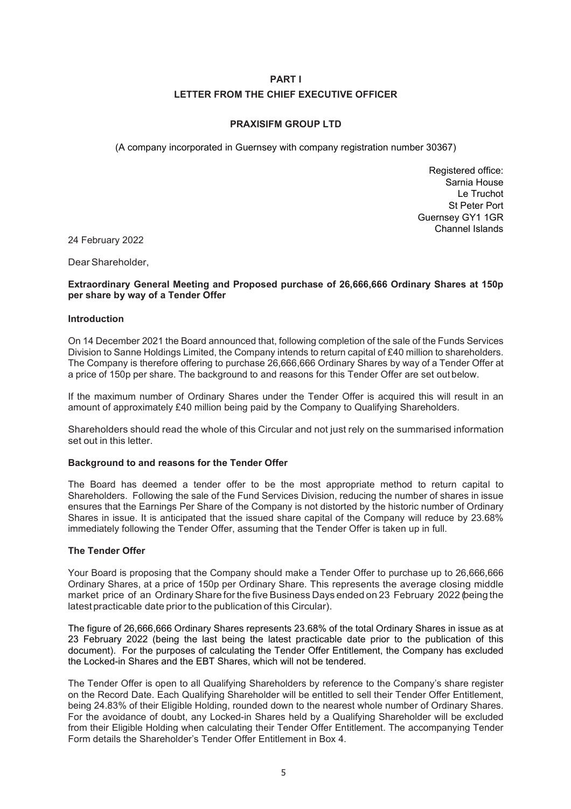## **PART I LETTER FROM THE CHIEF EXECUTIVE OFFICER**

## **PRAXISIFM GROUP LTD**

(A company incorporated in Guernsey with company registration number 30367)

Registered office: Sarnia House Le Truchot St Peter Port Guernsey GY1 1GR Channel Islands

24 February 2022

Dear Shareholder,

## **Extraordinary General Meeting and Proposed purchase of 26,666,666 Ordinary Shares at 150p per share by way of a Tender Offer**

## **Introduction**

On 14 December 2021 the Board announced that, following completion of the sale of the Funds Services Division to Sanne Holdings Limited, the Company intends to return capital of £40 million to shareholders. The Company is therefore offering to purchase 26,666,666 Ordinary Shares by way of a Tender Offer at a price of 150p per share. The background to and reasons for this Tender Offer are set out below.

If the maximum number of Ordinary Shares under the Tender Offer is acquired this will result in an amount of approximately £40 million being paid by the Company to Qualifying Shareholders.

Shareholders should read the whole of this Circular and not just rely on the summarised information set out in this letter.

## **Background to and reasons for the Tender Offer**

The Board has deemed a tender offer to be the most appropriate method to return capital to Shareholders. Following the sale of the Fund Services Division, reducing the number of shares in issue ensures that the Earnings Per Share of the Company is not distorted by the historic number of Ordinary Shares in issue. It is anticipated that the issued share capital of the Company will reduce by 23.68% immediately following the Tender Offer, assuming that the Tender Offer is taken up in full.

## **The Tender Offer**

Your Board is proposing that the Company should make a Tender Offer to purchase up to 26,666,666 Ordinary Shares, at a price of 150p per Ordinary Share. This represents the average closing middle market price of an Ordinary Share for the five Business Days ended on 23 February 2022 (being the latest practicable date prior to the publication of this Circular).

The figure of 26,666,666 Ordinary Shares represents 23.68% of the total Ordinary Shares in issue as at 23 February 2022 (being the last being the latest practicable date prior to the publication of this document). For the purposes of calculating the Tender Offer Entitlement, the Company has excluded the Locked-in Shares and the EBT Shares, which will not be tendered.

The Tender Offer is open to all Qualifying Shareholders by reference to the Company's share register on the Record Date. Each Qualifying Shareholder will be entitled to sell their Tender Offer Entitlement, being 24.83% of their Eligible Holding, rounded down to the nearest whole number of Ordinary Shares. For the avoidance of doubt, any Locked-in Shares held by a Qualifying Shareholder will be excluded from their Eligible Holding when calculating their Tender Offer Entitlement. The accompanying Tender Form details the Shareholder's Tender Offer Entitlement in Box 4.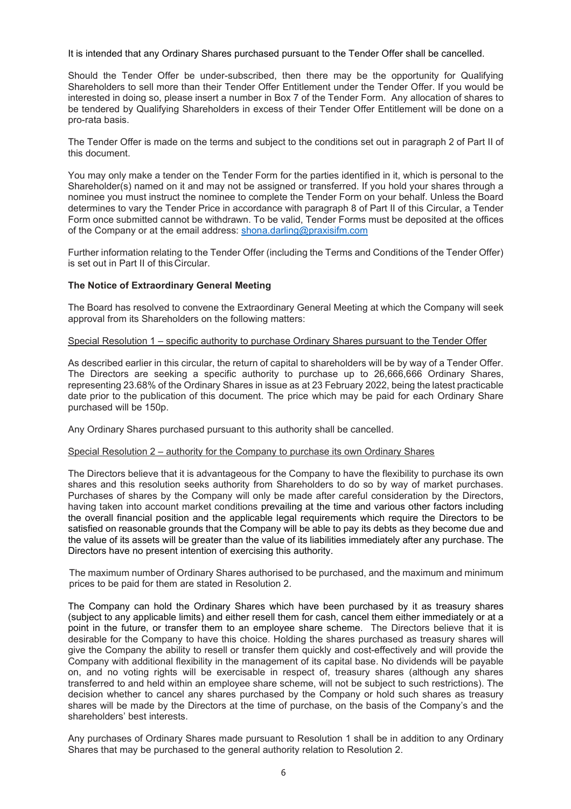It is intended that any Ordinary Shares purchased pursuant to the Tender Offer shall be cancelled.

Should the Tender Offer be under-subscribed, then there may be the opportunity for Qualifying Shareholders to sell more than their Tender Offer Entitlement under the Tender Offer. If you would be interested in doing so, please insert a number in Box 7 of the Tender Form. Any allocation of shares to be tendered by Qualifying Shareholders in excess of their Tender Offer Entitlement will be done on a pro-rata basis.

The Tender Offer is made on the terms and subject to the conditions set out in paragraph 2 of Part II of this document.

You may only make a tender on the Tender Form for the parties identified in it, which is personal to the Shareholder(s) named on it and may not be assigned or transferred. If you hold your shares through a nominee you must instruct the nominee to complete the Tender Form on your behalf. Unless the Board determines to vary the Tender Price in accordance with paragraph 8 of Part II of this Circular, a Tender Form once submitted cannot be withdrawn. To be valid, Tender Forms must be deposited at the offices of the Company or at the email address: shona.darling@praxisifm.com

Further information relating to the Tender Offer (including the Terms and Conditions of the Tender Offer) is set out in Part II of this Circular.

## **The Notice of Extraordinary General Meeting**

The Board has resolved to convene the Extraordinary General Meeting at which the Company will seek approval from its Shareholders on the following matters:

## Special Resolution 1 – specific authority to purchase Ordinary Shares pursuant to the Tender Offer

As described earlier in this circular, the return of capital to shareholders will be by way of a Tender Offer. The Directors are seeking a specific authority to purchase up to 26,666,666 Ordinary Shares, representing 23.68% of the Ordinary Shares in issue as at 23 February 2022, being the latest practicable date prior to the publication of this document. The price which may be paid for each Ordinary Share purchased will be 150p.

Any Ordinary Shares purchased pursuant to this authority shall be cancelled.

## Special Resolution 2 – authority for the Company to purchase its own Ordinary Shares

The Directors believe that it is advantageous for the Company to have the flexibility to purchase its own shares and this resolution seeks authority from Shareholders to do so by way of market purchases. Purchases of shares by the Company will only be made after careful consideration by the Directors, having taken into account market conditions prevailing at the time and various other factors including the overall financial position and the applicable legal requirements which require the Directors to be satisfied on reasonable grounds that the Company will be able to pay its debts as they become due and the value of its assets will be greater than the value of its liabilities immediately after any purchase. The Directors have no present intention of exercising this authority.

The maximum number of Ordinary Shares authorised to be purchased, and the maximum and minimum prices to be paid for them are stated in Resolution 2.

The Company can hold the Ordinary Shares which have been purchased by it as treasury shares (subject to any applicable limits) and either resell them for cash, cancel them either immediately or at a point in the future, or transfer them to an employee share scheme. The Directors believe that it is desirable for the Company to have this choice. Holding the shares purchased as treasury shares will give the Company the ability to resell or transfer them quickly and cost-effectively and will provide the Company with additional flexibility in the management of its capital base. No dividends will be payable on, and no voting rights will be exercisable in respect of, treasury shares (although any shares transferred to and held within an employee share scheme, will not be subject to such restrictions). The decision whether to cancel any shares purchased by the Company or hold such shares as treasury shares will be made by the Directors at the time of purchase, on the basis of the Company's and the shareholders' best interests.

Any purchases of Ordinary Shares made pursuant to Resolution 1 shall be in addition to any Ordinary Shares that may be purchased to the general authority relation to Resolution 2.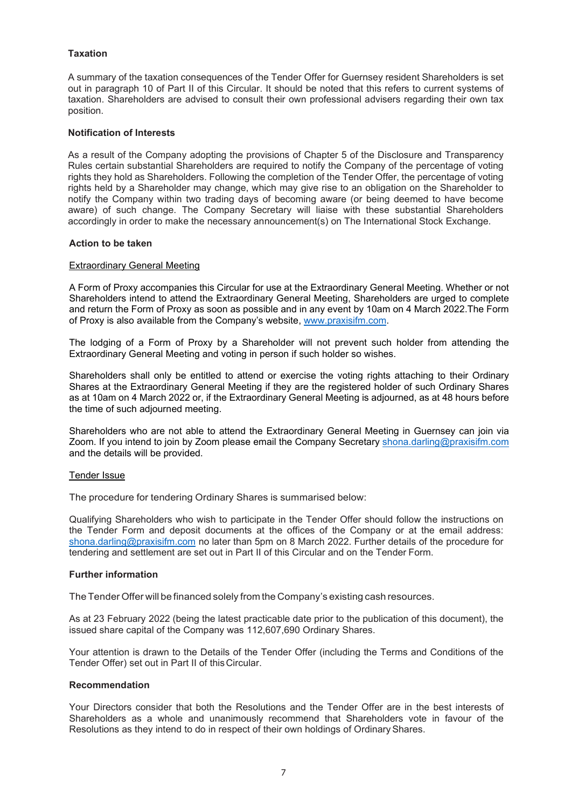## **Taxation**

A summary of the taxation consequences of the Tender Offer for Guernsey resident Shareholders is set out in paragraph 10 of Part II of this Circular. It should be noted that this refers to current systems of taxation. Shareholders are advised to consult their own professional advisers regarding their own tax position.

## **Notification of Interests**

As a result of the Company adopting the provisions of Chapter 5 of the Disclosure and Transparency Rules certain substantial Shareholders are required to notify the Company of the percentage of voting rights they hold as Shareholders. Following the completion of the Tender Offer, the percentage of voting rights held by a Shareholder may change, which may give rise to an obligation on the Shareholder to notify the Company within two trading days of becoming aware (or being deemed to have become aware) of such change. The Company Secretary will liaise with these substantial Shareholders accordingly in order to make the necessary announcement(s) on The International Stock Exchange.

## **Action to be taken**

## Extraordinary General Meeting

A Form of Proxy accompanies this Circular for use at the Extraordinary General Meeting. Whether or not Shareholders intend to attend the Extraordinary General Meeting, Shareholders are urged to complete and return the Form of Proxy as soon as possible and in any event by 10am on 4 March 2022.The Form of Proxy is also available from the Company's website, www.praxisifm.com.

The lodging of a Form of Proxy by a Shareholder will not prevent such holder from attending the Extraordinary General Meeting and voting in person if such holder so wishes.

Shareholders shall only be entitled to attend or exercise the voting rights attaching to their Ordinary Shares at the Extraordinary General Meeting if they are the registered holder of such Ordinary Shares as at 10am on 4 March 2022 or, if the Extraordinary General Meeting is adjourned, as at 48 hours before the time of such adjourned meeting.

Shareholders who are not able to attend the Extraordinary General Meeting in Guernsey can join via Zoom. If you intend to join by Zoom please email the Company Secretary shona.darling@praxisifm.com and the details will be provided.

## Tender Issue

The procedure for tendering Ordinary Shares is summarised below:

Qualifying Shareholders who wish to participate in the Tender Offer should follow the instructions on the Tender Form and deposit documents at the offices of the Company or at the email address: shona.darling@praxisifm.com no later than 5pm on 8 March 2022. Further details of the procedure for tendering and settlement are set out in Part II of this Circular and on the Tender Form.

## **Further information**

The Tender Offer will be financed solely from the Company's existing cash resources.

As at 23 February 2022 (being the latest practicable date prior to the publication of this document), the issued share capital of the Company was 112,607,690 Ordinary Shares.

Your attention is drawn to the Details of the Tender Offer (including the Terms and Conditions of the Tender Offer) set out in Part II of this Circular.

## **Recommendation**

Your Directors consider that both the Resolutions and the Tender Offer are in the best interests of Shareholders as a whole and unanimously recommend that Shareholders vote in favour of the Resolutions as they intend to do in respect of their own holdings of Ordinary Shares.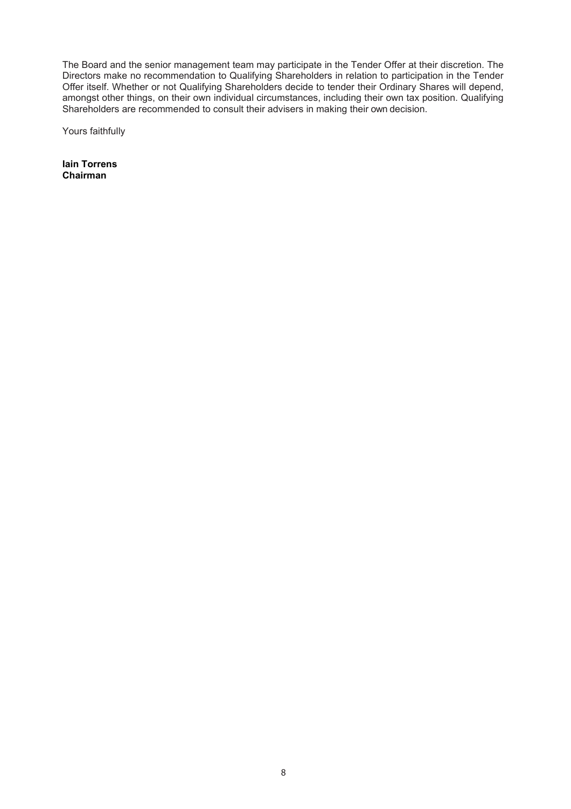The Board and the senior management team may participate in the Tender Offer at their discretion. The Directors make no recommendation to Qualifying Shareholders in relation to participation in the Tender Offer itself. Whether or not Qualifying Shareholders decide to tender their Ordinary Shares will depend, amongst other things, on their own individual circumstances, including their own tax position. Qualifying Shareholders are recommended to consult their advisers in making their own decision.

Yours faithfully

**Iain Torrens Chairman**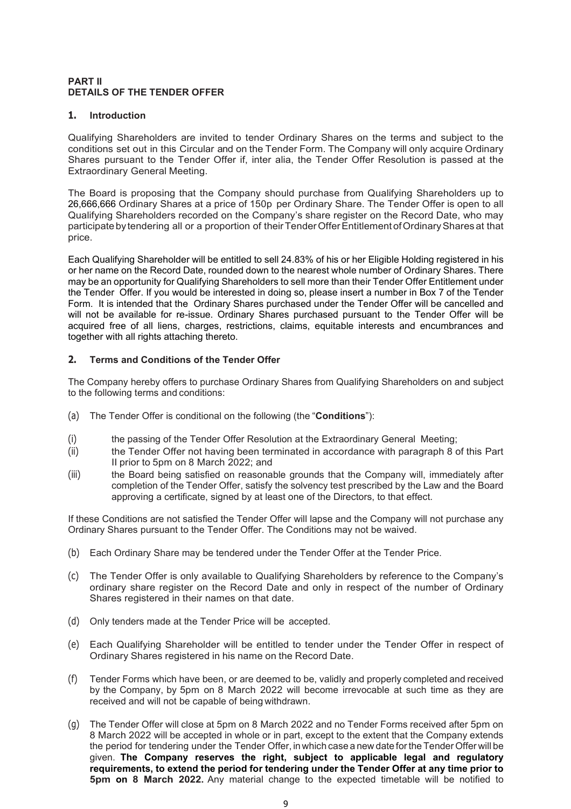## **PART II DETAILS OF THE TENDER OFFER**

## **1. Introduction**

Qualifying Shareholders are invited to tender Ordinary Shares on the terms and subject to the conditions set out in this Circular and on the Tender Form. The Company will only acquire Ordinary Shares pursuant to the Tender Offer if, inter alia, the Tender Offer Resolution is passed at the Extraordinary General Meeting.

The Board is proposing that the Company should purchase from Qualifying Shareholders up to 26,666,666 Ordinary Shares at a price of 150p per Ordinary Share. The Tender Offer is open to all Qualifying Shareholders recorded on the Company's share register on the Record Date, who may participate by tendering all or a proportion of their Tender Offer Entitlement of Ordinary Shares at that price.

Each Qualifying Shareholder will be entitled to sell 24.83% of his or her Eligible Holding registered in his or her name on the Record Date, rounded down to the nearest whole number of Ordinary Shares. There may be an opportunity for Qualifying Shareholders to sell more than their Tender Offer Entitlement under the Tender Offer. If you would be interested in doing so, please insert a number in Box 7 of the Tender Form. It is intended that the Ordinary Shares purchased under the Tender Offer will be cancelled and will not be available for re-issue. Ordinary Shares purchased pursuant to the Tender Offer will be acquired free of all liens, charges, restrictions, claims, equitable interests and encumbrances and together with all rights attaching thereto.

## **2. Terms and Conditions of the Tender Offer**

The Company hereby offers to purchase Ordinary Shares from Qualifying Shareholders on and subject to the following terms and conditions:

- (a) The Tender Offer is conditional on the following (the "**Conditions**"):
- (i) the passing of the Tender Offer Resolution at the Extraordinary General Meeting;
- (ii) the Tender Offer not having been terminated in accordance with paragraph 8 of this Part II prior to 5pm on 8 March 2022; and
- (iii) the Board being satisfied on reasonable grounds that the Company will, immediately after completion of the Tender Offer, satisfy the solvency test prescribed by the Law and the Board approving a certificate, signed by at least one of the Directors, to that effect.

If these Conditions are not satisfied the Tender Offer will lapse and the Company will not purchase any Ordinary Shares pursuant to the Tender Offer. The Conditions may not be waived.

- (b) Each Ordinary Share may be tendered under the Tender Offer at the Tender Price.
- (c) The Tender Offer is only available to Qualifying Shareholders by reference to the Company's ordinary share register on the Record Date and only in respect of the number of Ordinary Shares registered in their names on that date.
- (d) Only tenders made at the Tender Price will be accepted.
- (e) Each Qualifying Shareholder will be entitled to tender under the Tender Offer in respect of Ordinary Shares registered in his name on the Record Date.
- (f) Tender Forms which have been, or are deemed to be, validly and properly completed and received by the Company, by 5pm on 8 March 2022 will become irrevocable at such time as they are received and will not be capable of being withdrawn.
- (g) The Tender Offer will close at 5pm on 8 March 2022 and no Tender Forms received after 5pm on 8 March 2022 will be accepted in whole or in part, except to the extent that the Company extends the period for tendering under the Tender Offer, in which case a new date for the Tender Offer will be given. **The Company reserves the right, subject to applicable legal and regulatory requirements, to extend the period for tendering under the Tender Offer at any time prior to 5pm on 8 March 2022.** Any material change to the expected timetable will be notified to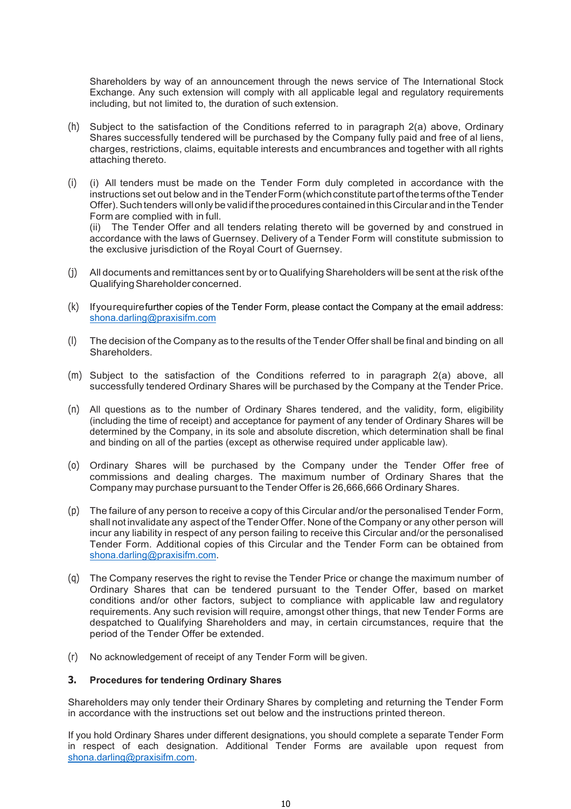Shareholders by way of an announcement through the news service of The International Stock Exchange. Any such extension will comply with all applicable legal and regulatory requirements including, but not limited to, the duration of such extension.

- (h) Subject to the satisfaction of the Conditions referred to in paragraph 2(a) above, Ordinary Shares successfully tendered will be purchased by the Company fully paid and free of al liens, charges, restrictions, claims, equitable interests and encumbrances and together with all rights attaching thereto.
- (i) (i) All tenders must be made on the Tender Form duly completed in accordance with the instructions set out below and in the Tender Form (which constitute part of the terms of the Tender Offer). Such tenders will only be valid if the procedures contained in this Circular and in the Tender Form are complied with in full.

(ii) The Tender Offer and all tenders relating thereto will be governed by and construed in accordance with the laws of Guernsey. Delivery of a Tender Form will constitute submission to the exclusive jurisdiction of the Royal Court of Guernsey.

- (j) All documents and remittances sent by or to Qualifying Shareholders will be sent at the risk of the Qualifying Shareholder concerned.
- (k) If you require further copies of the Tender Form, please contact the Company at the email address: shona.darling@praxisifm.com
- (l) The decision of the Company as to the results of the Tender Offer shall be final and binding on all Shareholders.
- (m) Subject to the satisfaction of the Conditions referred to in paragraph 2(a) above, all successfully tendered Ordinary Shares will be purchased by the Company at the Tender Price.
- (n) All questions as to the number of Ordinary Shares tendered, and the validity, form, eligibility (including the time of receipt) and acceptance for payment of any tender of Ordinary Shares will be determined by the Company, in its sole and absolute discretion, which determination shall be final and binding on all of the parties (except as otherwise required under applicable law).
- (o) Ordinary Shares will be purchased by the Company under the Tender Offer free of commissions and dealing charges. The maximum number of Ordinary Shares that the Company may purchase pursuant to the Tender Offer is 26,666,666 Ordinary Shares.
- (p) The failure of any person to receive a copy of this Circular and/or the personalised Tender Form, shall not invalidate any aspect of the Tender Offer. None of the Company or any other person will incur any liability in respect of any person failing to receive this Circular and/or the personalised Tender Form. Additional copies of this Circular and the Tender Form can be obtained from shona.darling@praxisifm.com.
- (q) The Company reserves the right to revise the Tender Price or change the maximum number of Ordinary Shares that can be tendered pursuant to the Tender Offer, based on market conditions and/or other factors, subject to compliance with applicable law and regulatory requirements. Any such revision will require, amongst other things, that new Tender Forms are despatched to Qualifying Shareholders and may, in certain circumstances, require that the period of the Tender Offer be extended.
- (r) No acknowledgement of receipt of any Tender Form will be given.

## **3. Procedures for tendering Ordinary Shares**

Shareholders may only tender their Ordinary Shares by completing and returning the Tender Form in accordance with the instructions set out below and the instructions printed thereon.

If you hold Ordinary Shares under different designations, you should complete a separate Tender Form in respect of each designation. Additional Tender Forms are available upon request from shona.darling@praxisifm.com.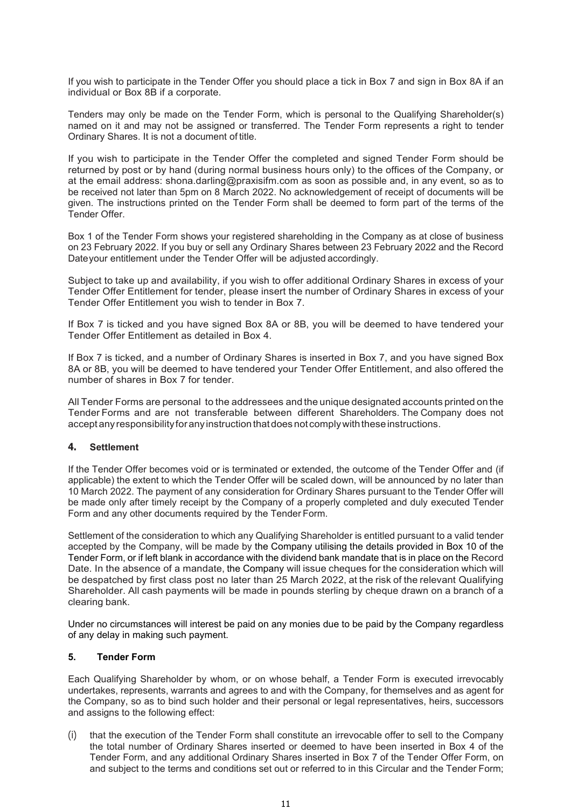If you wish to participate in the Tender Offer you should place a tick in Box 7 and sign in Box 8A if an individual or Box 8B if a corporate.

Tenders may only be made on the Tender Form, which is personal to the Qualifying Shareholder(s) named on it and may not be assigned or transferred. The Tender Form represents a right to tender Ordinary Shares. It is not a document of title.

If you wish to participate in the Tender Offer the completed and signed Tender Form should be returned by post or by hand (during normal business hours only) to the offices of the Company, or at the email address: shona.darling@praxisifm.com as soon as possible and, in any event, so as to be received not later than 5pm on 8 March 2022. No acknowledgement of receipt of documents will be given. The instructions printed on the Tender Form shall be deemed to form part of the terms of the Tender Offer.

Box 1 of the Tender Form shows your registered shareholding in the Company as at close of business on 23 February 2022. If you buy or sell any Ordinary Shares between 23 February 2022 and the Record Date your entitlement under the Tender Offer will be adjusted accordingly.

Subject to take up and availability, if you wish to offer additional Ordinary Shares in excess of your Tender Offer Entitlement for tender, please insert the number of Ordinary Shares in excess of your Tender Offer Entitlement you wish to tender in Box 7.

If Box 7 is ticked and you have signed Box 8A or 8B, you will be deemed to have tendered your Tender Offer Entitlement as detailed in Box 4.

If Box 7 is ticked, and a number of Ordinary Shares is inserted in Box 7, and you have signed Box 8A or 8B, you will be deemed to have tendered your Tender Offer Entitlement, and also offered the number of shares in Box 7 for tender.

All Tender Forms are personal to the addressees and the unique designated accounts printed on the Tender Forms and are not transferable between different Shareholders. The Company does not accept any responsibility for any instruction that does not comply with these instructions.

## **4. Settlement**

If the Tender Offer becomes void or is terminated or extended, the outcome of the Tender Offer and (if applicable) the extent to which the Tender Offer will be scaled down, will be announced by no later than 10 March 2022. The payment of any consideration for Ordinary Shares pursuant to the Tender Offer will be made only after timely receipt by the Company of a properly completed and duly executed Tender Form and any other documents required by the Tender Form.

Settlement of the consideration to which any Qualifying Shareholder is entitled pursuant to a valid tender accepted by the Company, will be made by the Company utilising the details provided in Box 10 of the Tender Form, or if left blank in accordance with the dividend bank mandate that is in place on the Record Date. In the absence of a mandate, the Company will issue cheques for the consideration which will be despatched by first class post no later than 25 March 2022, at the risk of the relevant Qualifying Shareholder. All cash payments will be made in pounds sterling by cheque drawn on a branch of a clearing bank.

Under no circumstances will interest be paid on any monies due to be paid by the Company regardless of any delay in making such payment.

## **5. Tender Form**

Each Qualifying Shareholder by whom, or on whose behalf, a Tender Form is executed irrevocably undertakes, represents, warrants and agrees to and with the Company, for themselves and as agent for the Company, so as to bind such holder and their personal or legal representatives, heirs, successors and assigns to the following effect:

(i) that the execution of the Tender Form shall constitute an irrevocable offer to sell to the Company the total number of Ordinary Shares inserted or deemed to have been inserted in Box 4 of the Tender Form, and any additional Ordinary Shares inserted in Box 7 of the Tender Offer Form, on and subject to the terms and conditions set out or referred to in this Circular and the Tender Form;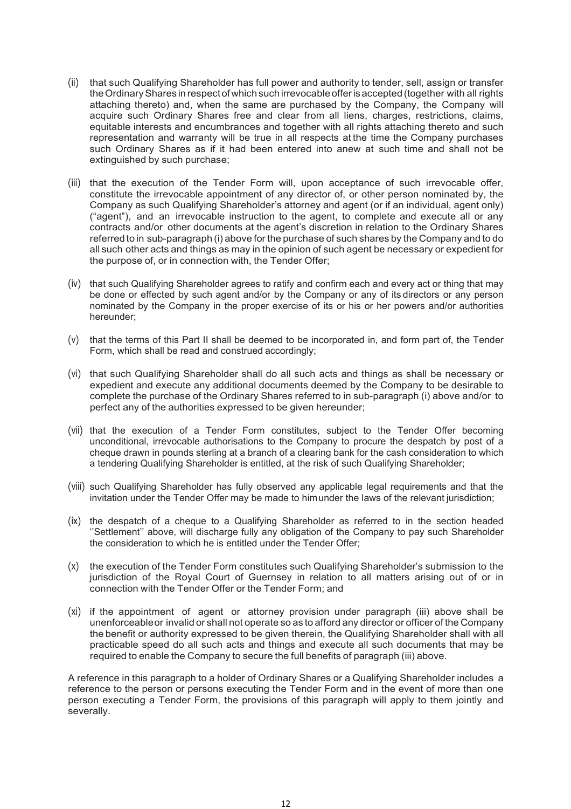- (ii) that such Qualifying Shareholder has full power and authority to tender, sell, assign or transfer the Ordinary Shares in respect of which such irrevocable offer is accepted (together with all rights attaching thereto) and, when the same are purchased by the Company, the Company will acquire such Ordinary Shares free and clear from all liens, charges, restrictions, claims, equitable interests and encumbrances and together with all rights attaching thereto and such representation and warranty will be true in all respects at the time the Company purchases such Ordinary Shares as if it had been entered into anew at such time and shall not be extinguished by such purchase;
- (iii) that the execution of the Tender Form will, upon acceptance of such irrevocable offer, constitute the irrevocable appointment of any director of, or other person nominated by, the Company as such Qualifying Shareholder's attorney and agent (or if an individual, agent only) ("agent"), and an irrevocable instruction to the agent, to complete and execute all or any contracts and/or other documents at the agent's discretion in relation to the Ordinary Shares referred to in sub-paragraph (i) above for the purchase of such shares by the Company and to do all such other acts and things as may in the opinion of such agent be necessary or expedient for the purpose of, or in connection with, the Tender Offer;
- (iv) that such Qualifying Shareholder agrees to ratify and confirm each and every act or thing that may be done or effected by such agent and/or by the Company or any of its directors or any person nominated by the Company in the proper exercise of its or his or her powers and/or authorities hereunder;
- (v) that the terms of this Part II shall be deemed to be incorporated in, and form part of, the Tender Form, which shall be read and construed accordingly;
- (vi) that such Qualifying Shareholder shall do all such acts and things as shall be necessary or expedient and execute any additional documents deemed by the Company to be desirable to complete the purchase of the Ordinary Shares referred to in sub-paragraph (i) above and/or to perfect any of the authorities expressed to be given hereunder;
- (vii) that the execution of a Tender Form constitutes, subject to the Tender Offer becoming unconditional, irrevocable authorisations to the Company to procure the despatch by post of a cheque drawn in pounds sterling at a branch of a clearing bank for the cash consideration to which a tendering Qualifying Shareholder is entitled, at the risk of such Qualifying Shareholder;
- (viii) such Qualifying Shareholder has fully observed any applicable legal requirements and that the invitation under the Tender Offer may be made to him under the laws of the relevant jurisdiction;
- (ix) the despatch of a cheque to a Qualifying Shareholder as referred to in the section headed ''Settlement'' above, will discharge fully any obligation of the Company to pay such Shareholder the consideration to which he is entitled under the Tender Offer;
- (x) the execution of the Tender Form constitutes such Qualifying Shareholder's submission to the jurisdiction of the Royal Court of Guernsey in relation to all matters arising out of or in connection with the Tender Offer or the Tender Form; and
- (xi) if the appointment of agent or attorney provision under paragraph (iii) above shall be unenforceable or invalid or shall not operate so as to afford any director or officer of the Company the benefit or authority expressed to be given therein, the Qualifying Shareholder shall with all practicable speed do all such acts and things and execute all such documents that may be required to enable the Company to secure the full benefits of paragraph (iii) above.

A reference in this paragraph to a holder of Ordinary Shares or a Qualifying Shareholder includes a reference to the person or persons executing the Tender Form and in the event of more than one person executing a Tender Form, the provisions of this paragraph will apply to them jointly and severally.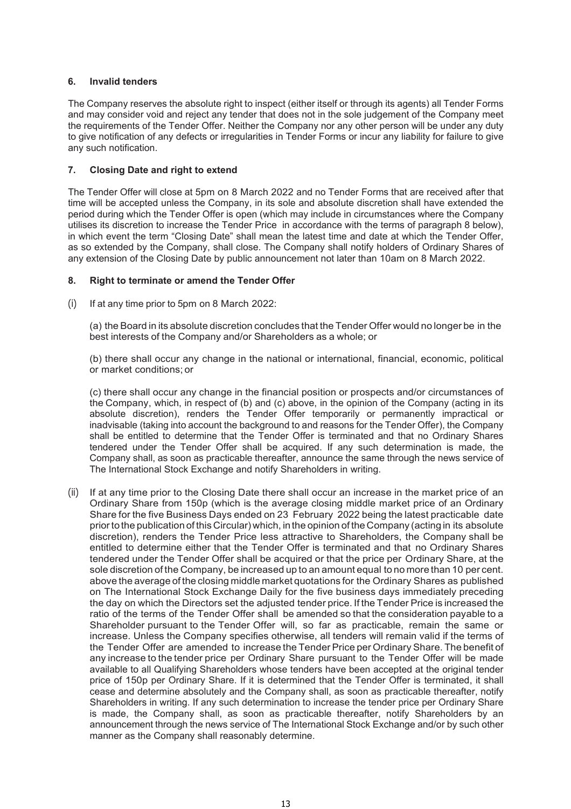## **6. Invalid tenders**

The Company reserves the absolute right to inspect (either itself or through its agents) all Tender Forms and may consider void and reject any tender that does not in the sole judgement of the Company meet the requirements of the Tender Offer. Neither the Company nor any other person will be under any duty to give notification of any defects or irregularities in Tender Forms or incur any liability for failure to give any such notification.

## **7. Closing Date and right to extend**

The Tender Offer will close at 5pm on 8 March 2022 and no Tender Forms that are received after that time will be accepted unless the Company, in its sole and absolute discretion shall have extended the period during which the Tender Offer is open (which may include in circumstances where the Company utilises its discretion to increase the Tender Price in accordance with the terms of paragraph 8 below), in which event the term "Closing Date" shall mean the latest time and date at which the Tender Offer, as so extended by the Company, shall close. The Company shall notify holders of Ordinary Shares of any extension of the Closing Date by public announcement not later than 10am on 8 March 2022.

## **8. Right to terminate or amend the Tender Offer**

(i) If at any time prior to 5pm on 8 March 2022:

(a) the Board in its absolute discretion concludes that the Tender Offer would no longer be in the best interests of the Company and/or Shareholders as a whole; or

 (b) there shall occur any change in the national or international, financial, economic, political or market conditions; or

 (c) there shall occur any change in the financial position or prospects and/or circumstances of the Company, which, in respect of (b) and (c) above, in the opinion of the Company (acting in its absolute discretion), renders the Tender Offer temporarily or permanently impractical or inadvisable (taking into account the background to and reasons for the Tender Offer), the Company shall be entitled to determine that the Tender Offer is terminated and that no Ordinary Shares tendered under the Tender Offer shall be acquired. If any such determination is made, the Company shall, as soon as practicable thereafter, announce the same through the news service of The International Stock Exchange and notify Shareholders in writing.

(ii) If at any time prior to the Closing Date there shall occur an increase in the market price of an Ordinary Share from 150p (which is the average closing middle market price of an Ordinary Share for the five Business Days ended on 23 February 2022 being the latest practicable date prior to the publication of this Circular) which, in the opinion of the Company (acting in its absolute discretion), renders the Tender Price less attractive to Shareholders, the Company shall be entitled to determine either that the Tender Offer is terminated and that no Ordinary Shares tendered under the Tender Offer shall be acquired or that the price per Ordinary Share, at the sole discretion of the Company, be increased up to an amount equal to no more than 10 per cent. above the average of the closing middle market quotations for the Ordinary Shares as published on The International Stock Exchange Daily for the five business days immediately preceding the day on which the Directors set the adjusted tender price. If the Tender Price is increased the ratio of the terms of the Tender Offer shall be amended so that the consideration payable to a Shareholder pursuant to the Tender Offer will, so far as practicable, remain the same or increase. Unless the Company specifies otherwise, all tenders will remain valid if the terms of the Tender Offer are amended to increase the Tender Price per Ordinary Share. The benefit of any increase to the tender price per Ordinary Share pursuant to the Tender Offer will be made available to all Qualifying Shareholders whose tenders have been accepted at the original tender price of 150p per Ordinary Share. If it is determined that the Tender Offer is terminated, it shall cease and determine absolutely and the Company shall, as soon as practicable thereafter, notify Shareholders in writing. If any such determination to increase the tender price per Ordinary Share is made, the Company shall, as soon as practicable thereafter, notify Shareholders by an announcement through the news service of The International Stock Exchange and/or by such other manner as the Company shall reasonably determine.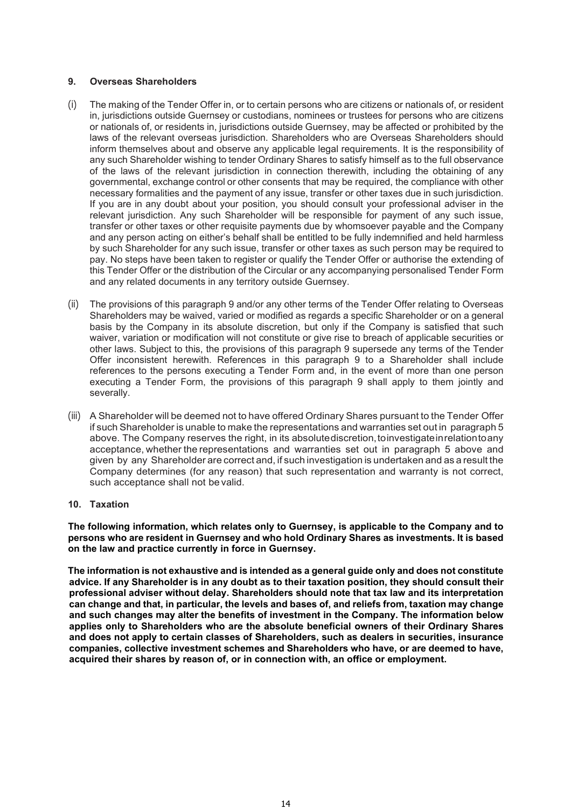## **9. Overseas Shareholders**

- (i) The making of the Tender Offer in, or to certain persons who are citizens or nationals of, or resident in, jurisdictions outside Guernsey or custodians, nominees or trustees for persons who are citizens or nationals of, or residents in, jurisdictions outside Guernsey, may be affected or prohibited by the laws of the relevant overseas jurisdiction. Shareholders who are Overseas Shareholders should inform themselves about and observe any applicable legal requirements. It is the responsibility of any such Shareholder wishing to tender Ordinary Shares to satisfy himself as to the full observance of the laws of the relevant jurisdiction in connection therewith, including the obtaining of any governmental, exchange control or other consents that may be required, the compliance with other necessary formalities and the payment of any issue, transfer or other taxes due in such jurisdiction. If you are in any doubt about your position, you should consult your professional adviser in the relevant jurisdiction. Any such Shareholder will be responsible for payment of any such issue, transfer or other taxes or other requisite payments due by whomsoever payable and the Company and any person acting on either's behalf shall be entitled to be fully indemnified and held harmless by such Shareholder for any such issue, transfer or other taxes as such person may be required to pay. No steps have been taken to register or qualify the Tender Offer or authorise the extending of this Tender Offer or the distribution of the Circular or any accompanying personalised Tender Form and any related documents in any territory outside Guernsey.
- (ii) The provisions of this paragraph 9 and/or any other terms of the Tender Offer relating to Overseas Shareholders may be waived, varied or modified as regards a specific Shareholder or on a general basis by the Company in its absolute discretion, but only if the Company is satisfied that such waiver, variation or modification will not constitute or give rise to breach of applicable securities or other laws. Subject to this, the provisions of this paragraph 9 supersede any terms of the Tender Offer inconsistent herewith. References in this paragraph 9 to a Shareholder shall include references to the persons executing a Tender Form and, in the event of more than one person executing a Tender Form, the provisions of this paragraph 9 shall apply to them jointly and severally.
- (iii) A Shareholder will be deemed not to have offered Ordinary Shares pursuant to the Tender Offer if such Shareholder is unable to make the representations and warranties set out in paragraph 5 above. The Company reserves the right, in its absolute discretion, to investigate in relation to any acceptance, whether the representations and warranties set out in paragraph 5 above and given by any Shareholder are correct and, if such investigation is undertaken and as a result the Company determines (for any reason) that such representation and warranty is not correct, such acceptance shall not be valid.

## **10. Taxation**

**The following information, which relates only to Guernsey, is applicable to the Company and to persons who are resident in Guernsey and who hold Ordinary Shares as investments. It is based on the law and practice currently in force in Guernsey.** 

**The information is not exhaustive and is intended as a general guide only and does not constitute advice. If any Shareholder is in any doubt as to their taxation position, they should consult their professional adviser without delay. Shareholders should note that tax law and its interpretation can change and that, in particular, the levels and bases of, and reliefs from, taxation may change and such changes may alter the benefits of investment in the Company. The information below applies only to Shareholders who are the absolute beneficial owners of their Ordinary Shares and does not apply to certain classes of Shareholders, such as dealers in securities, insurance companies, collective investment schemes and Shareholders who have, or are deemed to have, acquired their shares by reason of, or in connection with, an office or employment.**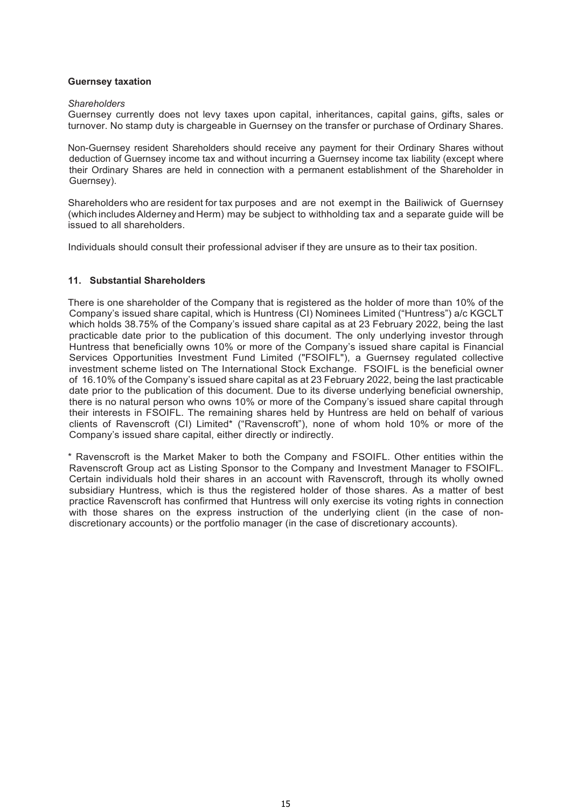## **Guernsey taxation**

#### *Shareholders*

Guernsey currently does not levy taxes upon capital, inheritances, capital gains, gifts, sales or turnover. No stamp duty is chargeable in Guernsey on the transfer or purchase of Ordinary Shares.

Non-Guernsey resident Shareholders should receive any payment for their Ordinary Shares without deduction of Guernsey income tax and without incurring a Guernsey income tax liability (except where their Ordinary Shares are held in connection with a permanent establishment of the Shareholder in Guernsey).

Shareholders who are resident for tax purposes and are not exempt in the Bailiwick of Guernsey (which includes Alderney and Herm) may be subject to withholding tax and a separate guide will be issued to all shareholders.

Individuals should consult their professional adviser if they are unsure as to their tax position.

## **11. Substantial Shareholders**

There is one shareholder of the Company that is registered as the holder of more than 10% of the Company's issued share capital, which is Huntress (CI) Nominees Limited ("Huntress") a/c KGCLT which holds 38.75% of the Company's issued share capital as at 23 February 2022, being the last practicable date prior to the publication of this document. The only underlying investor through Huntress that beneficially owns 10% or more of the Company's issued share capital is Financial Services Opportunities Investment Fund Limited ("FSOIFL"), a Guernsey regulated collective investment scheme listed on The International Stock Exchange. FSOIFL is the beneficial owner of 16.10% of the Company's issued share capital as at 23 February 2022, being the last practicable date prior to the publication of this document. Due to its diverse underlying beneficial ownership, there is no natural person who owns 10% or more of the Company's issued share capital through their interests in FSOIFL. The remaining shares held by Huntress are held on behalf of various clients of Ravenscroft (CI) Limited\* ("Ravenscroft"), none of whom hold 10% or more of the Company's issued share capital, either directly or indirectly.

\* Ravenscroft is the Market Maker to both the Company and FSOIFL. Other entities within the Ravenscroft Group act as Listing Sponsor to the Company and Investment Manager to FSOIFL. Certain individuals hold their shares in an account with Ravenscroft, through its wholly owned subsidiary Huntress, which is thus the registered holder of those shares. As a matter of best practice Ravenscroft has confirmed that Huntress will only exercise its voting rights in connection with those shares on the express instruction of the underlying client (in the case of nondiscretionary accounts) or the portfolio manager (in the case of discretionary accounts).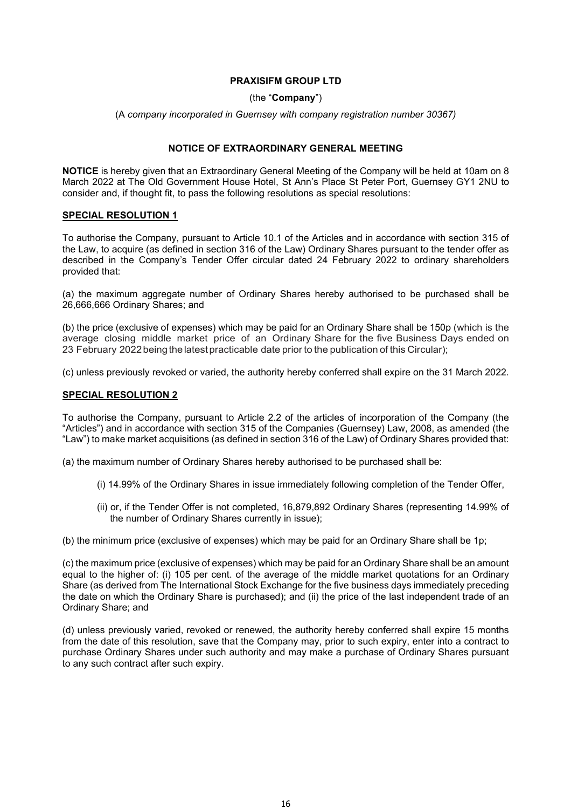## **PRAXISIFM GROUP LTD**

## (the "**Company**")

(A *company incorporated in Guernsey with company registration number 30367)*

## **NOTICE OF EXTRAORDINARY GENERAL MEETING**

**NOTICE** is hereby given that an Extraordinary General Meeting of the Company will be held at 10am on 8 March 2022 at The Old Government House Hotel, St Ann's Place St Peter Port, Guernsey GY1 2NU to consider and, if thought fit, to pass the following resolutions as special resolutions:

## **SPECIAL RESOLUTION 1**

To authorise the Company, pursuant to Article 10.1 of the Articles and in accordance with section 315 of the Law, to acquire (as defined in section 316 of the Law) Ordinary Shares pursuant to the tender offer as described in the Company's Tender Offer circular dated 24 February 2022 to ordinary shareholders provided that:

(a) the maximum aggregate number of Ordinary Shares hereby authorised to be purchased shall be 26,666,666 Ordinary Shares; and

(b) the price (exclusive of expenses) which may be paid for an Ordinary Share shall be 150p (which is the average closing middle market price of an Ordinary Share for the five Business Days ended on 23 February 2022 being the latest practicable date prior to the publication of this Circular);

(c) unless previously revoked or varied, the authority hereby conferred shall expire on the 31 March 2022.

## **SPECIAL RESOLUTION 2**

To authorise the Company, pursuant to Article 2.2 of the articles of incorporation of the Company (the "Articles") and in accordance with section 315 of the Companies (Guernsey) Law, 2008, as amended (the "Law") to make market acquisitions (as defined in section 316 of the Law) of Ordinary Shares provided that:

(a) the maximum number of Ordinary Shares hereby authorised to be purchased shall be:

- (i) 14.99% of the Ordinary Shares in issue immediately following completion of the Tender Offer,
- (ii) or, if the Tender Offer is not completed, 16,879,892 Ordinary Shares (representing 14.99% of the number of Ordinary Shares currently in issue);

(b) the minimum price (exclusive of expenses) which may be paid for an Ordinary Share shall be 1p;

(c) the maximum price (exclusive of expenses) which may be paid for an Ordinary Share shall be an amount equal to the higher of: (i) 105 per cent. of the average of the middle market quotations for an Ordinary Share (as derived from The International Stock Exchange for the five business days immediately preceding the date on which the Ordinary Share is purchased); and (ii) the price of the last independent trade of an Ordinary Share; and

(d) unless previously varied, revoked or renewed, the authority hereby conferred shall expire 15 months from the date of this resolution, save that the Company may, prior to such expiry, enter into a contract to purchase Ordinary Shares under such authority and may make a purchase of Ordinary Shares pursuant to any such contract after such expiry.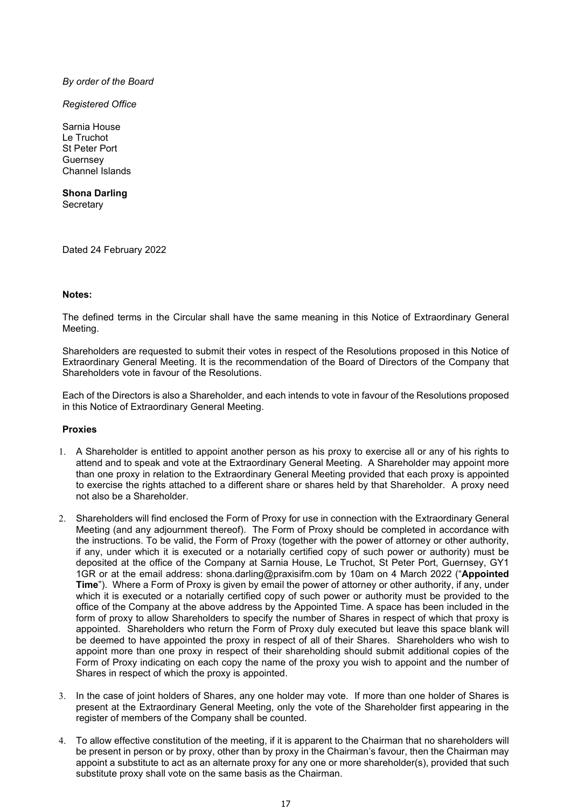## *By order of the Board*

*Registered Office* 

Sarnia House Le Truchot St Peter Port **Guernsey** Channel Islands

**Shona Darling Secretary** 

Dated 24 February 2022

## **Notes:**

The defined terms in the Circular shall have the same meaning in this Notice of Extraordinary General Meeting.

Shareholders are requested to submit their votes in respect of the Resolutions proposed in this Notice of Extraordinary General Meeting. It is the recommendation of the Board of Directors of the Company that Shareholders vote in favour of the Resolutions.

Each of the Directors is also a Shareholder, and each intends to vote in favour of the Resolutions proposed in this Notice of Extraordinary General Meeting.

## **Proxies**

- 1. A Shareholder is entitled to appoint another person as his proxy to exercise all or any of his rights to attend and to speak and vote at the Extraordinary General Meeting. A Shareholder may appoint more than one proxy in relation to the Extraordinary General Meeting provided that each proxy is appointed to exercise the rights attached to a different share or shares held by that Shareholder. A proxy need not also be a Shareholder.
- 2. Shareholders will find enclosed the Form of Proxy for use in connection with the Extraordinary General Meeting (and any adjournment thereof). The Form of Proxy should be completed in accordance with the instructions. To be valid, the Form of Proxy (together with the power of attorney or other authority, if any, under which it is executed or a notarially certified copy of such power or authority) must be deposited at the office of the Company at Sarnia House, Le Truchot, St Peter Port, Guernsey, GY1 1GR or at the email address: shona.darling@praxisifm.com by 10am on 4 March 2022 ("**Appointed Time**"). Where a Form of Proxy is given by email the power of attorney or other authority, if any, under which it is executed or a notarially certified copy of such power or authority must be provided to the office of the Company at the above address by the Appointed Time. A space has been included in the form of proxy to allow Shareholders to specify the number of Shares in respect of which that proxy is appointed. Shareholders who return the Form of Proxy duly executed but leave this space blank will be deemed to have appointed the proxy in respect of all of their Shares. Shareholders who wish to appoint more than one proxy in respect of their shareholding should submit additional copies of the Form of Proxy indicating on each copy the name of the proxy you wish to appoint and the number of Shares in respect of which the proxy is appointed.
- 3. In the case of joint holders of Shares, any one holder may vote. If more than one holder of Shares is present at the Extraordinary General Meeting, only the vote of the Shareholder first appearing in the register of members of the Company shall be counted.
- 4. To allow effective constitution of the meeting, if it is apparent to the Chairman that no shareholders will be present in person or by proxy, other than by proxy in the Chairman's favour, then the Chairman may appoint a substitute to act as an alternate proxy for any one or more shareholder(s), provided that such substitute proxy shall vote on the same basis as the Chairman.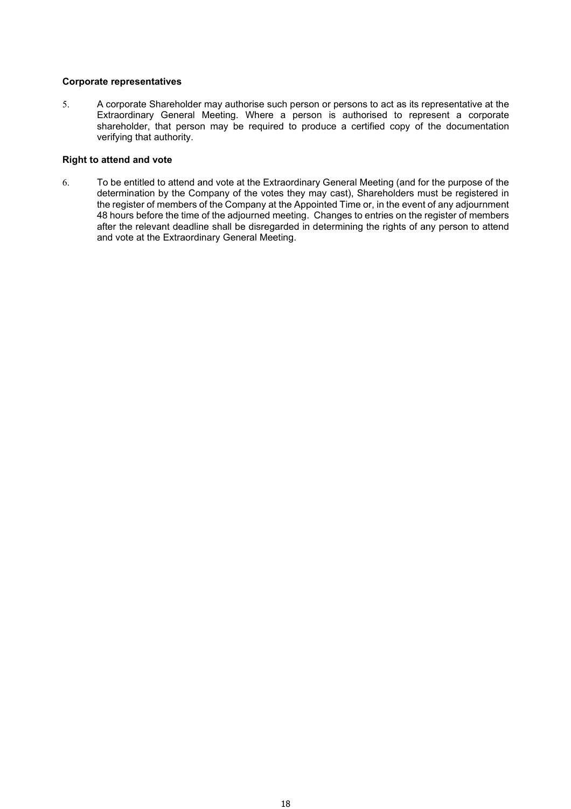## **Corporate representatives**

5. A corporate Shareholder may authorise such person or persons to act as its representative at the Extraordinary General Meeting. Where a person is authorised to represent a corporate shareholder, that person may be required to produce a certified copy of the documentation verifying that authority.

## **Right to attend and vote**

6. To be entitled to attend and vote at the Extraordinary General Meeting (and for the purpose of the determination by the Company of the votes they may cast), Shareholders must be registered in the register of members of the Company at the Appointed Time or, in the event of any adjournment 48 hours before the time of the adjourned meeting. Changes to entries on the register of members after the relevant deadline shall be disregarded in determining the rights of any person to attend and vote at the Extraordinary General Meeting.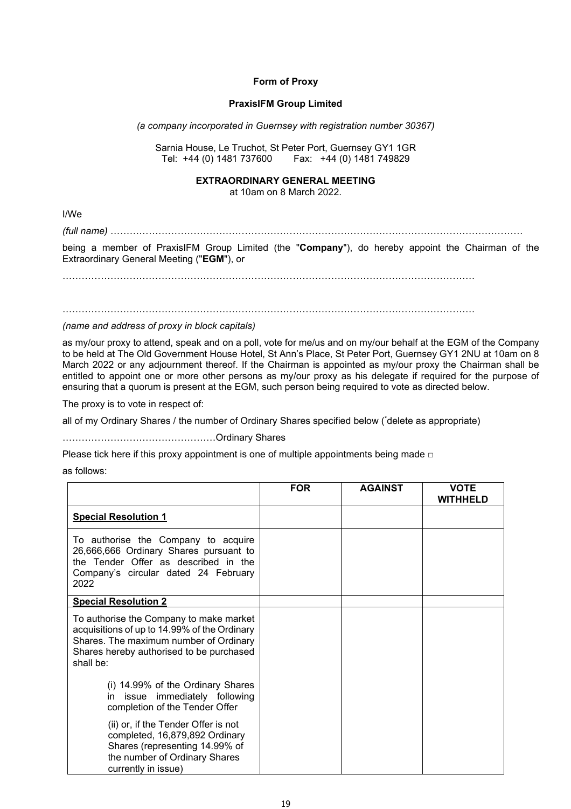## **Form of Proxy**

## **PraxisIFM Group Limited**

*(a company incorporated in Guernsey with registration number 30367)* 

Sarnia House, Le Truchot, St Peter Port, Guernsey GY1 1GR Tel: +44 (0) 1481 737600 Fax: +44 (0) 1481 749829

#### **EXTRAORDINARY GENERAL MEETING**

at 10am on 8 March 2022.

I/We

*(full name)* …………………………………………………………………………………………………………………

being a member of PraxisIFM Group Limited (the "**Company**"), do hereby appoint the Chairman of the Extraordinary General Meeting ("**EGM**"), or

 $\mathcal{L}^{\text{max}}_{\text{max}}$ 

…………………………………………………………………………………………………………………

*(name and address of proxy in block capitals)* 

as my/our proxy to attend, speak and on a poll, vote for me/us and on my/our behalf at the EGM of the Company to be held at The Old Government House Hotel, St Ann's Place, St Peter Port, Guernsey GY1 2NU at 10am on 8 March 2022 or any adjournment thereof. If the Chairman is appointed as my/our proxy the Chairman shall be entitled to appoint one or more other persons as my/our proxy as his delegate if required for the purpose of ensuring that a quorum is present at the EGM, such person being required to vote as directed below.

The proxy is to vote in respect of:

all of my Ordinary Shares / the number of Ordinary Shares specified below (\* delete as appropriate)

…………………………………………Ordinary Shares

Please tick here if this proxy appointment is one of multiple appointments being made  $□$ 

as follows:

|                                                                                                                                                                                            | <b>FOR</b> | <b>AGAINST</b> | <b>VOTE</b><br><b>WITHHELD</b> |
|--------------------------------------------------------------------------------------------------------------------------------------------------------------------------------------------|------------|----------------|--------------------------------|
| <b>Special Resolution 1</b>                                                                                                                                                                |            |                |                                |
| To authorise the Company to acquire<br>26,666,666 Ordinary Shares pursuant to<br>the Tender Offer as described in the<br>Company's circular dated 24 February<br>2022                      |            |                |                                |
| <b>Special Resolution 2</b>                                                                                                                                                                |            |                |                                |
| To authorise the Company to make market<br>acquisitions of up to 14.99% of the Ordinary<br>Shares. The maximum number of Ordinary<br>Shares hereby authorised to be purchased<br>shall be: |            |                |                                |
| (i) 14.99% of the Ordinary Shares<br>in issue immediately following<br>completion of the Tender Offer                                                                                      |            |                |                                |
| (ii) or, if the Tender Offer is not<br>completed, 16,879,892 Ordinary<br>Shares (representing 14.99% of<br>the number of Ordinary Shares<br>currently in issue)                            |            |                |                                |